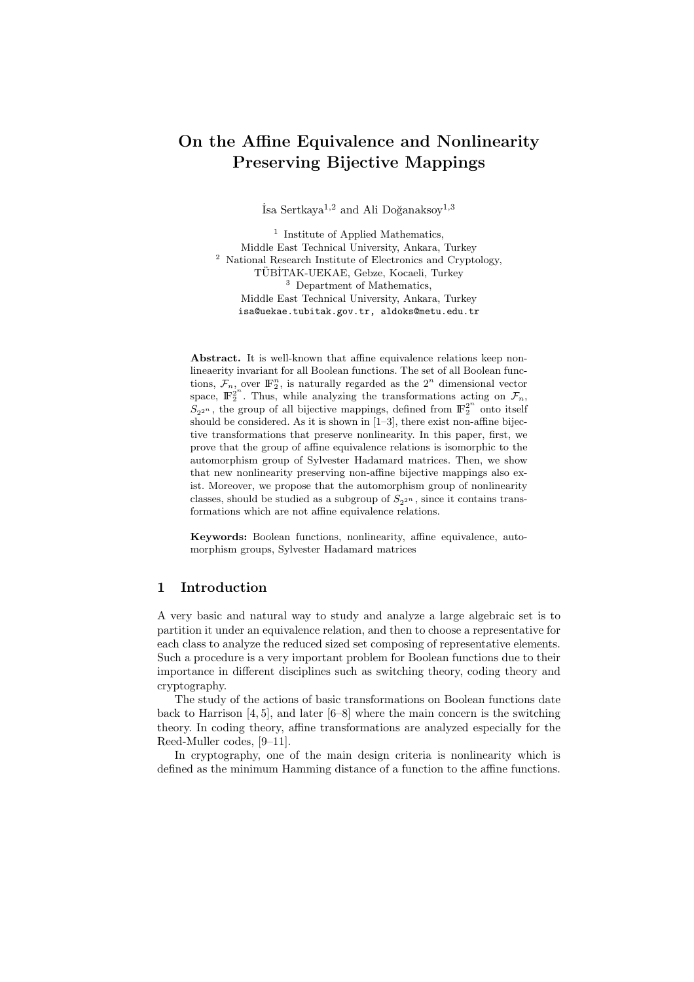# On the Affine Equivalence and Nonlinearity Preserving Bijective Mappings

 $\mathrm{Isa}$  Sertkaya $^{1,2}$  and Ali Doğanaksov $^{1,3}$ 

<sup>1</sup> Institute of Applied Mathematics, Middle East Technical University, Ankara, Turkey <sup>2</sup> National Research Institute of Electronics and Cryptology, TÜBİTAK-UEKAE, Gebze, Kocaeli, Turkey <sup>3</sup> Department of Mathematics, Middle East Technical University, Ankara, Turkey isa@uekae.tubitak.gov.tr, aldoks@metu.edu.tr

Abstract. It is well-known that affine equivalence relations keep nonlineaerity invariant for all Boolean functions. The set of all Boolean functions,  $\mathcal{F}_n$ , over  $\mathbb{F}_2^n$ , is naturally regarded as the  $2^n$  dimensional vector space,  $\mathbb{F}_2^{2^n}$ . Thus, while analyzing the transformations acting on  $\mathcal{F}_n$ ,  $S_{2^{2^n}}$ , the group of all bijective mappings, defined from  $\mathbb{F}_2^{2^n}$  onto itself should be considered. As it is shown in  $[1-3]$ , there exist non-affine bijective transformations that preserve nonlinearity. In this paper, first, we prove that the group of affine equivalence relations is isomorphic to the automorphism group of Sylvester Hadamard matrices. Then, we show that new nonlinearity preserving non-affine bijective mappings also exist. Moreover, we propose that the automorphism group of nonlinearity classes, should be studied as a subgroup of  $S_{2^{2n}}$ , since it contains transformations which are not affine equivalence relations.

Keywords: Boolean functions, nonlinearity, affine equivalence, automorphism groups, Sylvester Hadamard matrices

### 1 Introduction

A very basic and natural way to study and analyze a large algebraic set is to partition it under an equivalence relation, and then to choose a representative for each class to analyze the reduced sized set composing of representative elements. Such a procedure is a very important problem for Boolean functions due to their importance in different disciplines such as switching theory, coding theory and cryptography.

The study of the actions of basic transformations on Boolean functions date back to Harrison [4, 5], and later [6–8] where the main concern is the switching theory. In coding theory, affine transformations are analyzed especially for the Reed-Muller codes, [9–11].

In cryptography, one of the main design criteria is nonlinearity which is defined as the minimum Hamming distance of a function to the affine functions.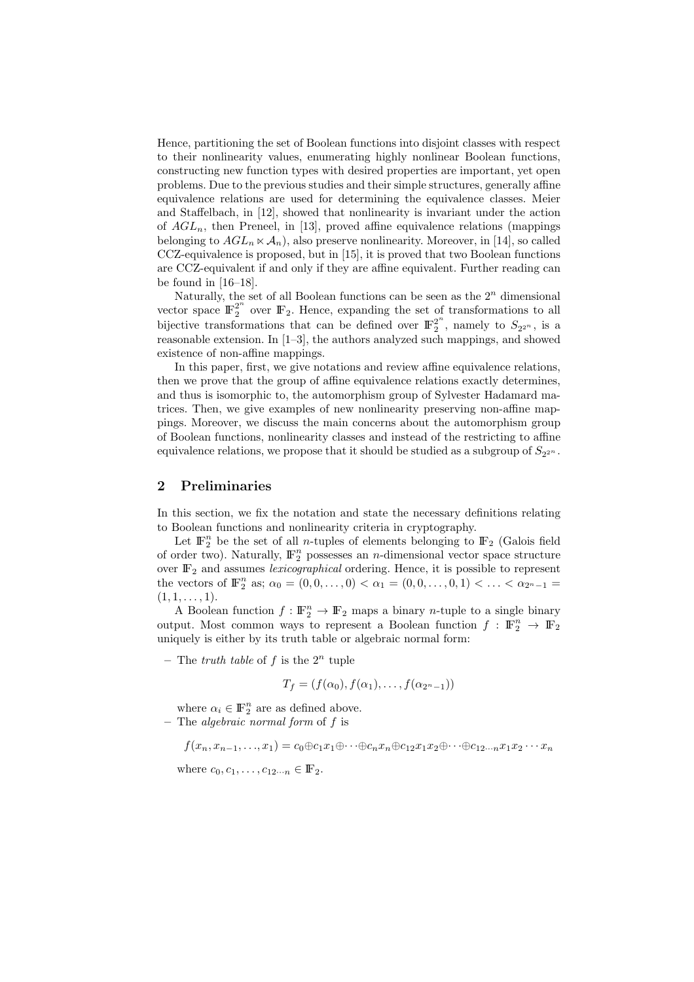Hence, partitioning the set of Boolean functions into disjoint classes with respect to their nonlinearity values, enumerating highly nonlinear Boolean functions, constructing new function types with desired properties are important, yet open problems. Due to the previous studies and their simple structures, generally affine equivalence relations are used for determining the equivalence classes. Meier and Staffelbach, in [12], showed that nonlinearity is invariant under the action of  $AGL_n$ , then Preneel, in [13], proved affine equivalence relations (mappings belonging to  $AGL_n \ltimes \mathcal{A}_n$ , also preserve nonlinearity. Moreover, in [14], so called CCZ-equivalence is proposed, but in [15], it is proved that two Boolean functions are CCZ-equivalent if and only if they are affine equivalent. Further reading can be found in [16–18].

Naturally, the set of all Boolean functions can be seen as the  $2<sup>n</sup>$  dimensional vector space  $\mathbb{F}_2^{2^n}$  over  $\mathbb{F}_2$ . Hence, expanding the set of transformations to all bijective transformations that can be defined over  $\mathbb{F}_2^{2^n}$  $2^{\infty}$ , namely to  $S_{2^{2^n}}$ , is a reasonable extension. In [1–3], the authors analyzed such mappings, and showed existence of non-affine mappings.

In this paper, first, we give notations and review affine equivalence relations, then we prove that the group of affine equivalence relations exactly determines, and thus is isomorphic to, the automorphism group of Sylvester Hadamard matrices. Then, we give examples of new nonlinearity preserving non-affine mappings. Moreover, we discuss the main concerns about the automorphism group of Boolean functions, nonlinearity classes and instead of the restricting to affine equivalence relations, we propose that it should be studied as a subgroup of  $S_{2^{2^n}}$ .

#### 2 Preliminaries

In this section, we fix the notation and state the necessary definitions relating to Boolean functions and nonlinearity criteria in cryptography.

Let  $\mathbb{F}_2^n$  be the set of all *n*-tuples of elements belonging to  $\mathbb{F}_2$  (Galois field of order two). Naturally,  $\mathbb{F}_2^n$  possesses an *n*-dimensional vector space structure over  $\mathbb{F}_2$  and assumes *lexicographical* ordering. Hence, it is possible to represent the vectors of  $\mathbb{F}_2^n$  as;  $\alpha_0 = (0, 0, \ldots, 0) < \alpha_1 = (0, 0, \ldots, 0, 1) < \ldots < \alpha_{2^n - 1} =$  $(1, 1, \ldots, 1).$ 

A Boolean function  $f: \mathbb{F}_2^n \to \mathbb{F}_2$  maps a binary *n*-tuple to a single binary output. Most common ways to represent a Boolean function  $f : \mathbb{F}_2^n \to \mathbb{F}_2$ uniquely is either by its truth table or algebraic normal form:

– The truth table of f is the  $2^n$  tuple

$$
T_f = (f(\alpha_0), f(\alpha_1), \dots, f(\alpha_{2^n-1}))
$$

where  $\alpha_i \in \mathbb{F}_2^n$  are as defined above.  $-$  The *algebraic normal form* of f is

 $f(x_n, x_{n-1}, \ldots, x_1) = c_0 \oplus c_1 x_1 \oplus \cdots \oplus c_n x_n \oplus c_1 2 x_1 x_2 \oplus \cdots \oplus c_1 2 \ldots n x_1 x_2 \cdots x_n$ 

where  $c_0, c_1, \ldots, c_{12\cdots n} \in \mathbb{F}_2$ .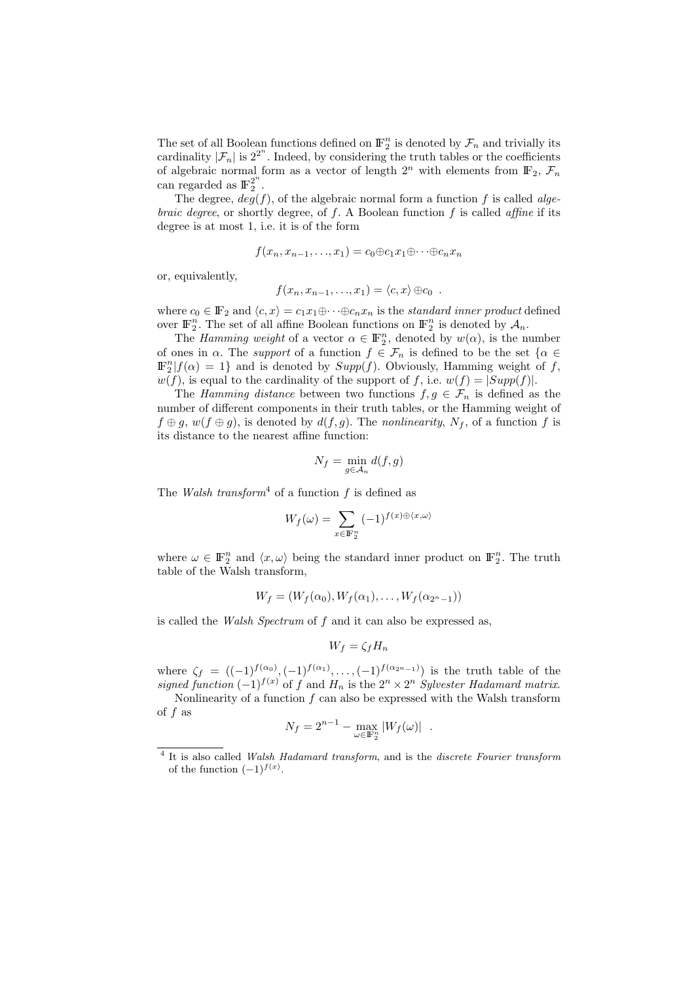The set of all Boolean functions defined on  $\mathbb{F}_2^n$  is denoted by  $\mathcal{F}_n$  and trivially its cardinality  $|\mathcal{F}_n|$  is  $2^{2^n}$ . Indeed, by considering the truth tables or the coefficients of algebraic normal form as a vector of length  $2^n$  with elements from  $\mathbb{F}_2$ ,  $\mathcal{F}_n$ can regarded as  $\mathbb{F}_2^{2^n}$ .

The degree,  $deg(f)$ , of the algebraic normal form a function f is called alge*braic degree*, or shortly degree, of  $f$ . A Boolean function  $f$  is called *affine* if its degree is at most 1, i.e. it is of the form

$$
f(x_n, x_{n-1}, \ldots, x_1) = c_0 \oplus c_1 x_1 \oplus \cdots \oplus c_n x_n
$$

or, equivalently,

$$
f(x_n, x_{n-1}, \ldots, x_1) = \langle c, x \rangle \oplus c_0.
$$

where  $c_0 \in \mathbb{F}_2$  and  $\langle c, x \rangle = c_1 x_1 \oplus \cdots \oplus c_n x_n$  is the standard inner product defined over  $\mathbb{F}_2^n$ . The set of all affine Boolean functions on  $\mathbb{F}_2^n$  is denoted by  $\mathcal{A}_n$ .

The *Hamming weight* of a vector  $\alpha \in \mathbb{F}_2^n$ , denoted by  $w(\alpha)$ , is the number of ones in  $\alpha$ . The *support* of a function  $f \in \mathcal{F}_n$  is defined to be the set  $\{\alpha \in$  $\mathbb{F}_2^n | f(\alpha) = 1$  and is denoted by  $Supp(f)$ . Obviously, Hamming weight of f,  $w(f)$ , is equal to the cardinality of the support of f, i.e.  $w(f) = |Supp(f)|$ .

The Hamming distance between two functions  $f, g \in \mathcal{F}_n$  is defined as the number of different components in their truth tables, or the Hamming weight of  $f \oplus g$ ,  $w(f \oplus g)$ , is denoted by  $d(f, g)$ . The nonlinearity,  $N_f$ , of a function f is its distance to the nearest affine function:

$$
N_f = \min_{g \in \mathcal{A}_n} d(f, g)
$$

The Walsh transform<sup>4</sup> of a function f is defined as

$$
W_f(\omega) = \sum_{x \in \mathbb{F}_2^n} (-1)^{f(x) \oplus \langle x, \omega \rangle}
$$

where  $\omega \in \mathbb{F}_2^n$  and  $\langle x, \omega \rangle$  being the standard inner product on  $\mathbb{F}_2^n$ . The truth table of the Walsh transform,

$$
W_f = (W_f(\alpha_0), W_f(\alpha_1), \dots, W_f(\alpha_{2^n-1}))
$$

is called the Walsh Spectrum of f and it can also be expressed as,

$$
W_f = \zeta_f H_n
$$

where  $\zeta_f = ((-1)^{f(\alpha_0)}, (-1)^{f(\alpha_1)}, \ldots, (-1)^{f(\alpha_{2^{n-1}})})$  is the truth table of the signed function  $(-1)^{f(x)}$  of f and  $H_n$  is the  $2^n \times 2^n$  Sylvester Hadamard matrix.

Nonlinearity of a function  $f$  can also be expressed with the Walsh transform of f as

$$
N_f = 2^{n-1} - \max_{\omega \in \mathbb{F}_2^n} |W_f(\omega)|.
$$

<sup>&</sup>lt;sup>4</sup> It is also called Walsh Hadamard transform, and is the discrete Fourier transform of the function  $(-1)^{f(x)}$ .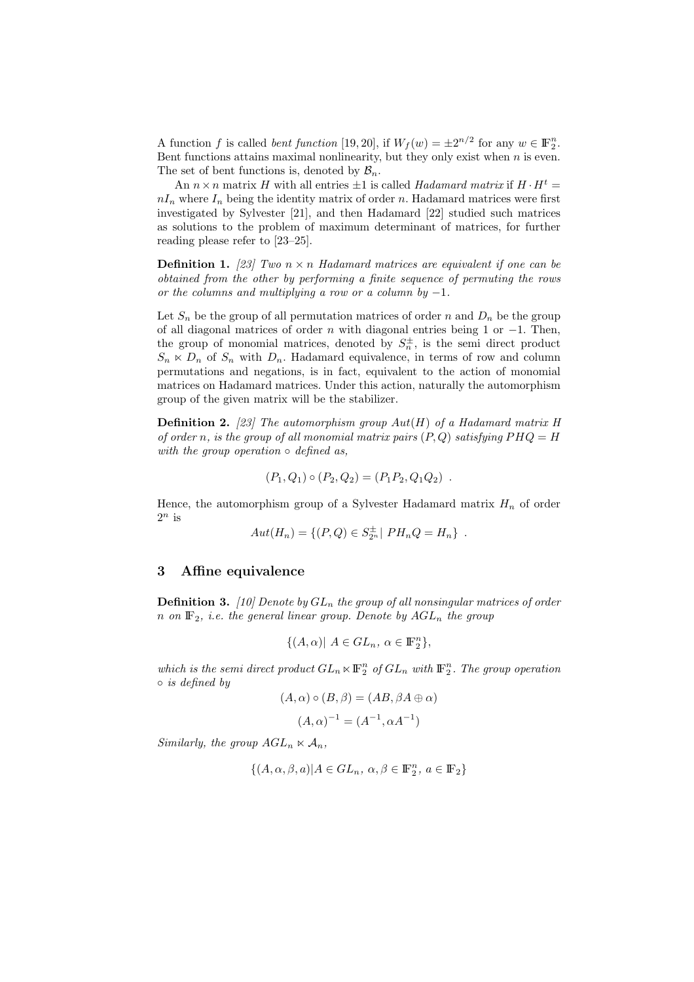A function f is called *bent function* [19, 20], if  $W_f(w) = \pm 2^{n/2}$  for any  $w \in \mathbb{F}_2^n$ . Bent functions attains maximal nonlinearity, but they only exist when  $n$  is even. The set of bent functions is, denoted by  $\mathcal{B}_n$ .

An  $n \times n$  matrix H with all entries  $\pm 1$  is called Hadamard matrix if  $H \cdot H^t =$  $nI_n$  where  $I_n$  being the identity matrix of order n. Hadamard matrices were first investigated by Sylvester [21], and then Hadamard [22] studied such matrices as solutions to the problem of maximum determinant of matrices, for further reading please refer to [23–25].

**Definition 1.** [23] Two  $n \times n$  Hadamard matrices are equivalent if one can be obtained from the other by performing a finite sequence of permuting the rows or the columns and multiplying a row or a column by  $-1$ .

Let  $S_n$  be the group of all permutation matrices of order n and  $D_n$  be the group of all diagonal matrices of order n with diagonal entries being 1 or  $-1$ . Then, the group of monomial matrices, denoted by  $S_n^{\pm}$ , is the semi direct product  $S_n \ltimes D_n$  of  $S_n$  with  $D_n$ . Hadamard equivalence, in terms of row and column permutations and negations, is in fact, equivalent to the action of monomial matrices on Hadamard matrices. Under this action, naturally the automorphism group of the given matrix will be the stabilizer.

**Definition 2.** [23] The automorphism group  $Aut(H)$  of a Hadamard matrix H of order n, is the group of all monomial matrix pairs  $(P,Q)$  satisfying  $PHQ = H$ with the group operation  $\circ$  defined as,

$$
(P_1, Q_1) \circ (P_2, Q_2) = (P_1 P_2, Q_1 Q_2) .
$$

Hence, the automorphism group of a Sylvester Hadamard matrix  $H_n$  of order  $2^n$  is

$$
Aut(H_n) = \{ (P, Q) \in S_{2^n}^{\pm} | PH_nQ = H_n \} .
$$

#### 3 Affine equivalence

**Definition 3.** [10] Denote by  $GL_n$  the group of all nonsingular matrices of order n on  $\mathbb{F}_2$ , i.e. the general linear group. Denote by  $AGL_n$  the group

$$
\{(A,\alpha)|\ A\in GL_n,\ \alpha\in \mathbb{F}_2^n\},\
$$

which is the semi direct product  $GL_n \ltimes \mathbb{F}_2^n$  of  $GL_n$  with  $\mathbb{F}_2^n$ . The group operation ◦ is defined by

$$
(A, \alpha) \circ (B, \beta) = (AB, \beta A \oplus \alpha)
$$

$$
(A, \alpha)^{-1} = (A^{-1}, \alpha A^{-1})
$$

Similarly, the group  $AGL_n \ltimes A_n$ ,

$$
\{(A, \alpha, \beta, a) | A \in GL_n,\ \alpha, \beta \in {\mathbb F}_2^n,\ a \in {\mathbb F}_2\}
$$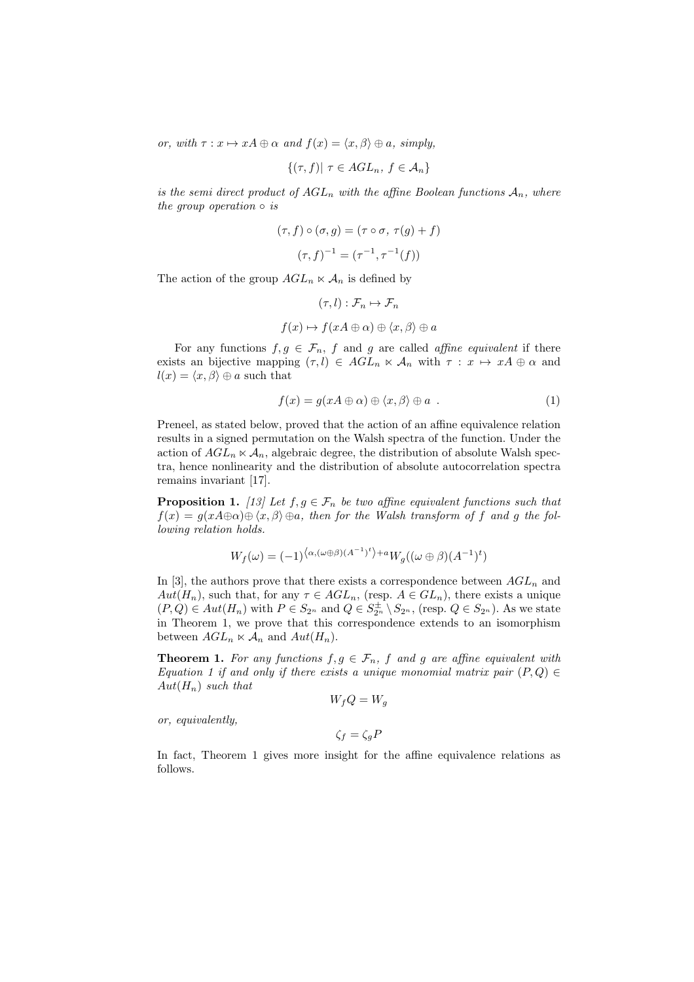or, with  $\tau: x \mapsto xA \oplus \alpha$  and  $f(x) = \langle x, \beta \rangle \oplus \alpha$ , simply,

$$
\{(\tau, f) | \ \tau \in AGL_n, \ f \in \mathcal{A}_n\}
$$

is the semi direct product of  $AGL_n$  with the affine Boolean functions  $A_n$ , where the group operation  $\circ$  is

$$
(\tau, f) \circ (\sigma, g) = (\tau \circ \sigma, \tau(g) + f)
$$

$$
(\tau, f)^{-1} = (\tau^{-1}, \tau^{-1}(f))
$$

The action of the group  $AGL_n \ltimes \mathcal{A}_n$  is defined by

$$
(\tau, l) : \mathcal{F}_n \mapsto \mathcal{F}_n
$$

$$
f(x) \mapsto f(xA \oplus \alpha) \oplus \langle x, \beta \rangle \oplus a
$$

For any functions  $f, g \in \mathcal{F}_n$ , f and g are called affine equivalent if there exists an bijective mapping  $(\tau, l) \in AGL_n \ltimes \mathcal{A}_n$  with  $\tau : x \mapsto xA \oplus \alpha$  and  $l(x) = \langle x, \beta \rangle \oplus a$  such that

$$
f(x) = g(xA \oplus \alpha) \oplus \langle x, \beta \rangle \oplus a . \tag{1}
$$

Preneel, as stated below, proved that the action of an affine equivalence relation results in a signed permutation on the Walsh spectra of the function. Under the action of  $AGL_n \ltimes \mathcal{A}_n$ , algebraic degree, the distribution of absolute Walsh spectra, hence nonlinearity and the distribution of absolute autocorrelation spectra remains invariant [17].

**Proposition 1.** [13] Let  $f, g \in \mathcal{F}_n$  be two affine equivalent functions such that  $f(x) = g(xA \oplus \alpha) \oplus \langle x, \beta \rangle \oplus a$ , then for the Walsh transform of f and g the following relation holds.

$$
W_f(\omega) = (-1)^{\langle \alpha, (\omega \oplus \beta)(A^{-1})^t \rangle + a} W_g((\omega \oplus \beta)(A^{-1})^t)
$$

In [3], the authors prove that there exists a correspondence between  $AGL_n$  and  $Aut(H_n)$ , such that, for any  $\tau \in AGL_n$ , (resp.  $A \in GL_n$ ), there exists a unique  $(P,Q) \in Aut(H_n)$  with  $P \in S_{2^n}$  and  $Q \in S_{2^n}^{\pm} \setminus S_{2^n}$ , (resp.  $Q \in S_{2^n}$ ). As we state in Theorem 1, we prove that this correspondence extends to an isomorphism between  $AGL_n \ltimes \mathcal{A}_n$  and  $Aut(H_n)$ .

**Theorem 1.** For any functions  $f, g \in \mathcal{F}_n$ , f and g are affine equivalent with Equation 1 if and only if there exists a unique monomial matrix pair  $(P,Q) \in$  $Aut(H_n)$  such that

$$
W_f Q = W_g
$$

or, equivalently,

$$
\zeta_f = \zeta_g P
$$

In fact, Theorem 1 gives more insight for the affine equivalence relations as follows.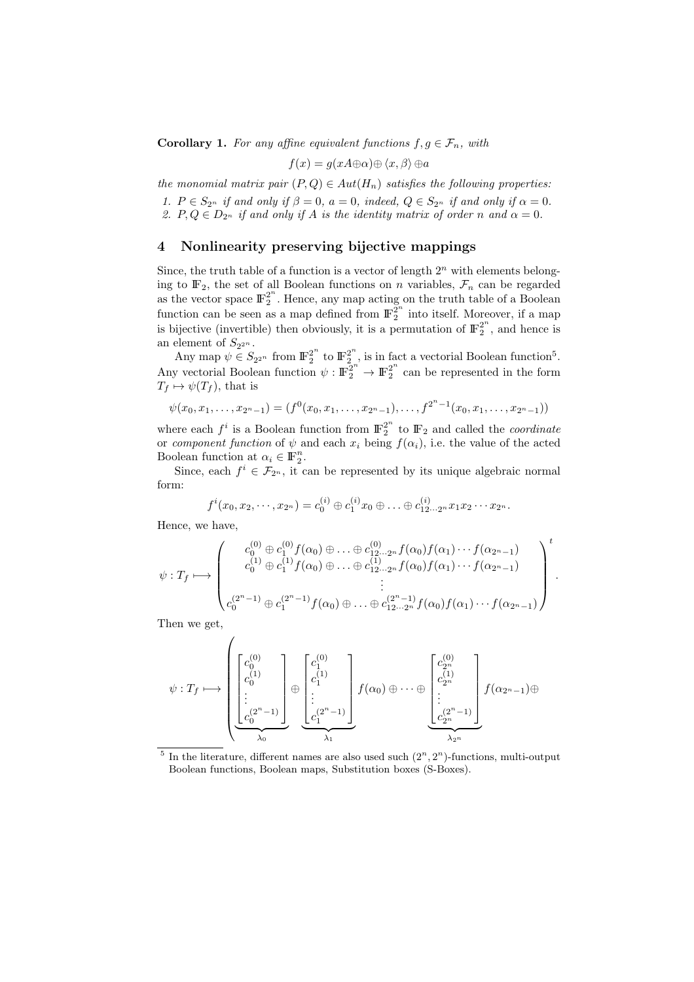**Corollary 1.** For any affine equivalent functions  $f, g \in \mathcal{F}_n$ , with

$$
f(x) = g(xA \oplus \alpha) \oplus \langle x, \beta \rangle \oplus a
$$

the monomial matrix pair  $(P,Q) \in Aut(H_n)$  satisfies the following properties:

1.  $P \in S_{2^n}$  if and only if  $\beta = 0$ ,  $a = 0$ , indeed,  $Q \in S_{2^n}$  if and only if  $\alpha = 0$ .

2.  $P, Q \in D_{2^n}$  if and only if A is the identity matrix of order n and  $\alpha = 0$ .

# 4 Nonlinearity preserving bijective mappings

Since, the truth table of a function is a vector of length  $2<sup>n</sup>$  with elements belonging to  $\mathbb{F}_2$ , the set of all Boolean functions on n variables,  $\mathcal{F}_n$  can be regarded as the vector space  $\mathbb{F}_2^{2^n}$ 2 . Hence, any map acting on the truth table of a Boolean function can be seen as a map defined from  $\mathbb{F}_2^{\mathbb{Z}^n}$  $\frac{2}{2}$  into itself. Moreover, if a map is bijective (invertible) then obviously, it is a permutation of  $\mathbb{F}_2^{2^n}$  $2^{\degree}$ , and hence is an element of  $S_{2^{2^n}}$ .

Any map  $\psi \in S_{2^{2^n}}$  from  $\mathbb{F}_2^{2^n}$  $\frac{2^n}{2}$  to  $\mathbb{F}_2^{2^n}$  $2^n$ , is in fact a vectorial Boolean function<sup>5</sup>. Any vectorial Boolean function  $\psi : \mathbb{F}_2^{2^n} \to \mathbb{F}_2^{2^n}$  $2^{\degree}$  can be represented in the form  $T_f \mapsto \psi(T_f)$ , that is

$$
\psi(x_0, x_1, \ldots, x_{2^n-1}) = (f^0(x_0, x_1, \ldots, x_{2^n-1}), \ldots, f^{2^n-1}(x_0, x_1, \ldots, x_{2^n-1}))
$$

where each  $f^i$  is a Boolean function from  $\mathbb{F}_2^{2^n}$  $\frac{2}{2}$  to  $\mathbb{F}_2$  and called the *coordinate* or component function of  $\psi$  and each  $x_i$  being  $f(\alpha_i)$ , i.e. the value of the acted Boolean function at  $\alpha_i \in \mathbb{F}_2^n$ .

Since, each  $f^i \in \mathcal{F}_{2^n}$ , it can be represented by its unique algebraic normal form:

$$
f^{i}(x_0, x_2, \cdots, x_{2^n}) = c_0^{(i)} \oplus c_1^{(i)} x_0 \oplus \ldots \oplus c_{12\cdots 2^n}^{(i)} x_1 x_2 \cdots x_{2^n}.
$$

Hence, we have,

$$
\psi: T_f \longmapsto \begin{pmatrix} c_0^{(0)} \oplus c_1^{(0)} f(\alpha_0) \oplus \ldots \oplus c_{12\ldots 2^n}^{(0)} f(\alpha_0) f(\alpha_1) \cdots f(\alpha_{2^n-1}) \\ c_0^{(1)} \oplus c_1^{(1)} f(\alpha_0) \oplus \ldots \oplus c_{12\ldots 2^n}^{(1)} f(\alpha_0) f(\alpha_1) \cdots f(\alpha_{2^n-1}) \\ \vdots \\ c_0^{(2^n-1)} \oplus c_1^{(2^n-1)} f(\alpha_0) \oplus \ldots \oplus c_{12\ldots 2^n}^{(2^n-1)} f(\alpha_0) f(\alpha_1) \cdots f(\alpha_{2^n-1}) \end{pmatrix}^t.
$$

Then we get,

$$
\psi: T_f \longmapsto \left( \underbrace{\begin{bmatrix} c_0^{(0)} \\ c_0^{(1)} \\ \vdots \\ c_0^{(2^n-1)} \end{bmatrix}}_{\lambda_0} \oplus \underbrace{\begin{bmatrix} c_1^{(0)} \\ c_1^{(1)} \\ \vdots \\ c_1^{(2^n-1)} \end{bmatrix}}_{\lambda_1} f(\alpha_0) \oplus \cdots \oplus \underbrace{\begin{bmatrix} c_2^{(0)} \\ c_2^{(1)} \\ \vdots \\ c_2^{(2^n-1)} \end{bmatrix}}_{\lambda_{2^n}} f(\alpha_{2^n-1}) \oplus \underbrace{\begin{bmatrix} c_2^{(0)} \\ c_2^{(1)} \\ \vdots \\ c_2^{(2^n-1)} \end{bmatrix}}_{\lambda_{2^n}} f(\alpha_{2^n-1}) \oplus \underbrace{\begin{bmatrix} c_2^{(0)} \\ c_2^{(1)} \\ \vdots \\ c_2^{(2^n-1)} \end{bmatrix}}_{\lambda_{2^n}} f(\alpha_{2^n-1}) \oplus \underbrace{\begin{bmatrix} c_2^{(0)} \\ c_2^{(1)} \\ \vdots \\ c_2^{(2^n-1)} \end{bmatrix}}_{\lambda_{2^n}} f(\alpha_{2^n-1}) \oplus \underbrace{\begin{bmatrix} c_2^{(0)} \\ c_2^{(1)} \\ \vdots \\ c_2^{(2^n-1)} \end{bmatrix}}_{\lambda_{2^n}} f(\alpha_{2^n-1}) \oplus \underbrace{\begin{bmatrix} c_2^{(0)} \\ c_2^{(1)} \\ \vdots \\ c_2^{(2^n-1)} \end{bmatrix}}_{\lambda_{2^n}} f(\alpha_{2^n-1}) \oplus \underbrace{\begin{bmatrix} c_2^{(0)} \\ c_2^{(1)} \\ \vdots \\ c_2^{(2^n-1)} \end{bmatrix}}_{\lambda_{2^n}} f(\alpha_{2^n-1}) \oplus \underbrace{\begin{bmatrix} c_2^{(0)} \\ c_2^{(1)} \\ \vdots \\ c_2^{(2^n-1)} \end{bmatrix}}_{\lambda_{2^n}} f(\alpha_{2^n-1}) \oplus \underbrace{\begin{bmatrix} c_2^{(0)} \\ c_2^{(1)} \\ \vdots \\ c_2^{(2^n-1)} \end{bmatrix}}_{\lambda_{2^n}} f(\alpha_{2^n-1}) \oplus \underbrace{\begin{bmatrix} c_2^{(0)} \\ c_2^{(1)} \\ \vdots \\ c_2^{(2^n-1)} \end{bmatrix}}_{\lambda_{2^n}}
$$

<sup>5</sup> In the literature, different names are also used such  $(2<sup>n</sup>, 2<sup>n</sup>)$ -functions, multi-output Boolean functions, Boolean maps, Substitution boxes (S-Boxes).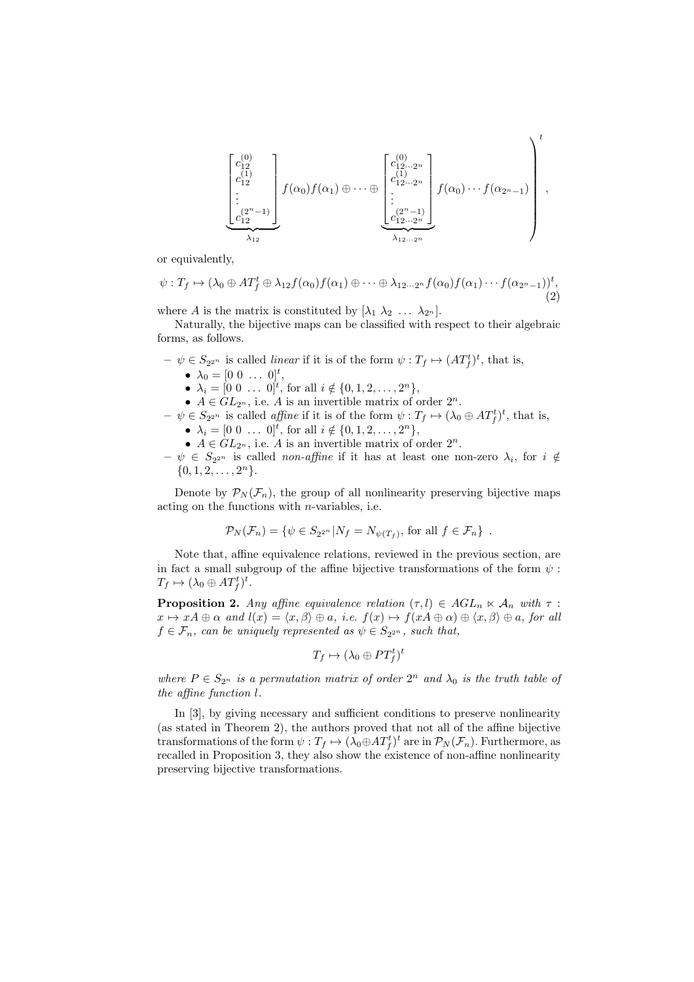$$
\left[\begin{matrix}c_{12}^{(0)}\\c_{12}^{(1)}\\c_{12}^{(1)}\\ \vdots\\c_{12}^{(2^{n}-1)}\end{matrix}\right]f(\alpha_0)f(\alpha_1)\oplus\cdots\oplus\left[\begin{matrix}c_{12\cdots 2^{n}}^{(0)}\\c_{12\cdots 2^{n}}^{(1)}\\ \vdots\\c_{12\cdots 2^{n}}^{(2^{n}-1)}\end{matrix}\right]f(\alpha_0)\cdots f(\alpha_{2^{n}-1})\right],
$$

or equivalently,

$$
\psi: T_f \mapsto (\lambda_0 \oplus AT_f^t \oplus \lambda_{12}f(\alpha_0)f(\alpha_1) \oplus \cdots \oplus \lambda_{12\cdots 2^n}f(\alpha_0)f(\alpha_1)\cdots f(\alpha_{2^n-1}))^t,
$$
\n(2)

where A is the matrix is constituted by  $[\lambda_1 \lambda_2 \ldots \lambda_{2^n}].$ 

Naturally, the bijective maps can be classified with respect to their algebraic forms, as follows.

- $-\psi \in S_{2^{2^n}}$  is called *linear* if it is of the form  $\psi : T_f \mapsto (AT_f^t)^t$ , that is,
	- $\lambda_0 = [0 \; 0 \; \dots \; 0]^t,$
	- $\lambda_i = [0 \ 0 \ \dots \ 0]^t$ , for all  $i \notin \{0, 1, 2, \dots, 2^n\},$

•  $A \in GL_{2^n}$ , i.e. A is an invertible matrix of order  $2^n$ .

- $-\psi \in S_{2^{2^n}}$  is called *affine* if it is of the form  $\psi : T_f \mapsto (\lambda_0 \oplus AT_f^t)^t$ , that is,
	- $\lambda_i = [0 \ 0 \ \dots \ 0]^t$ , for all  $i \notin \{0, 1, 2, \dots, 2^n\},$
	- $A \in GL_{2^n}$ , i.e. A is an invertible matrix of order  $2^n$ .
- $-\psi \in S_{2^{2^n}}$  is called *non-affine* if it has at least one non-zero  $\lambda_i$ , for  $i \notin$  $\{0, 1, 2, \ldots, 2^n\}.$

Denote by  $\mathcal{P}_N(\mathcal{F}_n)$ , the group of all nonlinearity preserving bijective maps acting on the functions with  $n$ -variables, i.e.

$$
\mathcal{P}_N(\mathcal{F}_n) = \{ \psi \in S_{2^{2^n}} | N_f = N_{\psi(T_f)}, \text{ for all } f \in \mathcal{F}_n \} .
$$

Note that, affine equivalence relations, reviewed in the previous section, are in fact a small subgroup of the affine bijective transformations of the form  $\psi$ :  $T_f \mapsto (\lambda_0 \oplus AT_f^t)^t.$ 

**Proposition 2.** Any affine equivalence relation  $(\tau, l) \in AGL_n \ltimes A_n$  with  $\tau$ :  $x \mapsto xA \oplus \alpha$  and  $l(x) = \langle x, \beta \rangle \oplus \alpha$ , i.e.  $f(x) \mapsto f(xA \oplus \alpha) \oplus \langle x, \beta \rangle \oplus \alpha$ , for all  $f \in \mathcal{F}_n$ , can be uniquely represented as  $\psi \in S_{2^{2^n}}$ , such that,

$$
T_f \mapsto (\lambda_0 \oplus PT_f^t)^t
$$

where  $P \in S_{2^n}$  is a permutation matrix of order  $2^n$  and  $\lambda_0$  is the truth table of the affine function l.

In [3], by giving necessary and sufficient conditions to preserve nonlinearity (as stated in Theorem 2), the authors proved that not all of the affine bijective transformations of the form  $\psi: T_f \mapsto (\lambda_0 \oplus AT_f^t)^t$  are in  $\mathcal{P}_N(\mathcal{F}_n)$ . Furthermore, as recalled in Proposition 3, they also show the existence of non-affine nonlinearity preserving bijective transformations.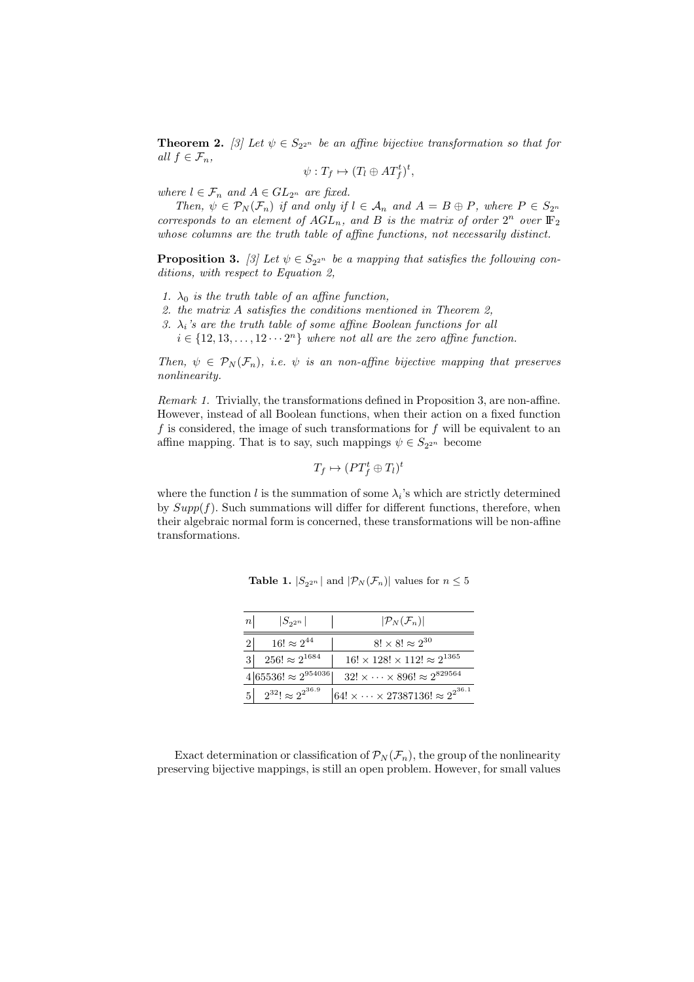**Theorem 2.** [3] Let  $\psi \in S_{2^{2^n}}$  be an affine bijective transformation so that for all  $f \in \mathcal{F}_n$ ,

$$
\psi: T_f \mapsto (T_l \oplus AT_f^t)^t,
$$

where  $l \in \mathcal{F}_n$  and  $A \in GL_{2^n}$  are fixed.

Then,  $\psi \in \mathcal{P}_N(\mathcal{F}_n)$  if and only if  $l \in \mathcal{A}_n$  and  $A = B \oplus P$ , where  $P \in S_{2^n}$ corresponds to an element of  $AGL_n$ , and B is the matrix of order  $2^n$  over  $\mathbb{F}_2$ whose columns are the truth table of affine functions, not necessarily distinct.

**Proposition 3.** [3] Let  $\psi \in S_{2^{2^n}}$  be a mapping that satisfies the following conditions, with respect to Equation 2,

- 1.  $\lambda_0$  is the truth table of an affine function,
- 2. the matrix A satisfies the conditions mentioned in Theorem 2,
- 3.  $\lambda_i$ 's are the truth table of some affine Boolean functions for all
- $i \in \{12, 13, \ldots, 12 \cdots 2^n\}$  where not all are the zero affine function.

Then,  $\psi \in \mathcal{P}_N(\mathcal{F}_n)$ , i.e.  $\psi$  is an non-affine bijective mapping that preserves nonlinearity.

Remark 1. Trivially, the transformations defined in Proposition 3, are non-affine. However, instead of all Boolean functions, when their action on a fixed function f is considered, the image of such transformations for f will be equivalent to an affine mapping. That is to say, such mappings  $\psi \in S_{2^{2^n}}$  become

$$
T_f \mapsto (PT_f^t \oplus T_l)^t
$$

where the function  $l$  is the summation of some  $\lambda_i$ 's which are strictly determined by  $Supp(f)$ . Such summations will differ for different functions, therefore, when their algebraic normal form is concerned, these transformations will be non-affine transformations.

| $\left  n\right $ | $ S_{2^{2n}} $                    | $ \mathcal{P}_N(\mathcal{F}_n) $                           |
|-------------------|-----------------------------------|------------------------------------------------------------|
|                   | $16! \approx 2^{44}$              | $8! \times 8! \approx 2^{30}$                              |
|                   | $256! \approx 2^{1684}$           | $16! \times 128! \times 112! \approx 2^{1365}$             |
|                   | $4 65536  \approx 2^{954036} $    | $32! \times \cdots \times 896! \approx 2^{829564}$         |
| 5 <sup>1</sup>    | $1 \t2^{32} \approx 2^{2^{36.9}}$ | $ 64! \times \cdots \times 27387136  \approx 2^{2^{36.1}}$ |

**Table 1.**  $|S_{2^{2^n}}|$  and  $|\mathcal{P}_N(\mathcal{F}_n)|$  values for  $n \leq 5$ 

Exact determination or classification of  $\mathcal{P}_N(\mathcal{F}_n)$ , the group of the nonlinearity preserving bijective mappings, is still an open problem. However, for small values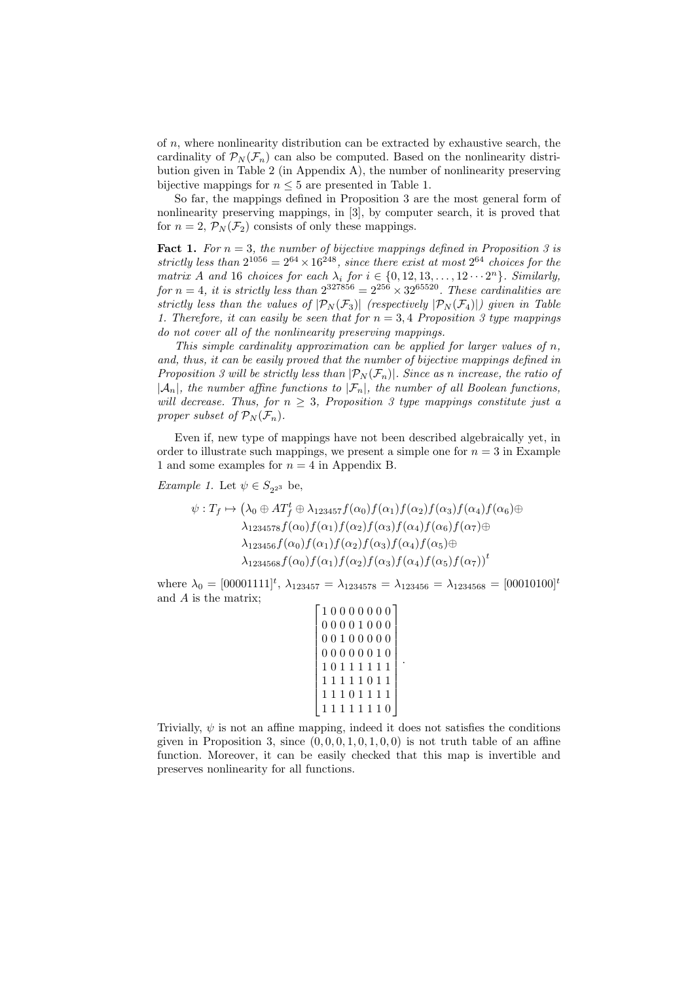of  $n$ , where nonlinearity distribution can be extracted by exhaustive search, the cardinality of  $\mathcal{P}_N(\mathcal{F}_n)$  can also be computed. Based on the nonlinearity distribution given in Table 2 (in Appendix A), the number of nonlinearity preserving bijective mappings for  $n \leq 5$  are presented in Table 1.

So far, the mappings defined in Proposition 3 are the most general form of nonlinearity preserving mappings, in [3], by computer search, it is proved that for  $n = 2$ ,  $\mathcal{P}_N(\mathcal{F}_2)$  consists of only these mappings.

**Fact 1.** For  $n = 3$ , the number of bijective mappings defined in Proposition 3 is strictly less than  $2^{1056} = 2^{64} \times 16^{248}$ , since there exist at most  $2^{64}$  choices for the matrix A and 16 choices for each  $\lambda_i$  for  $i \in \{0, 12, 13, \ldots, 12 \cdots 2^n\}$ . Similarly, for  $n = 4$ , it is strictly less than  $2^{327856} = 2^{256} \times 32^{65520}$ . These cardinalities are strictly less than the values of  $|\mathcal{P}_N(\mathcal{F}_3)|$  (respectively  $|\mathcal{P}_N(\mathcal{F}_4)|$ ) given in Table 1. Therefore, it can easily be seen that for  $n = 3, 4$  Proposition 3 type mappings do not cover all of the nonlinearity preserving mappings.

This simple cardinality approximation can be applied for larger values of  $n$ , and, thus, it can be easily proved that the number of bijective mappings defined in Proposition 3 will be strictly less than  $|\mathcal{P}_N(\mathcal{F}_n)|$ . Since as n increase, the ratio of  $|\mathcal{A}_n|$ , the number affine functions to  $|\mathcal{F}_n|$ , the number of all Boolean functions, will decrease. Thus, for  $n \geq 3$ , Proposition 3 type mappings constitute just a proper subset of  $\mathcal{P}_N(\mathcal{F}_n)$ .

Even if, new type of mappings have not been described algebraically yet, in order to illustrate such mappings, we present a simple one for  $n = 3$  in Example 1 and some examples for  $n = 4$  in Appendix B.

*Example 1.* Let  $\psi \in S_{2^{2^3}}$  be,

$$
\psi: T_f \mapsto (\lambda_0 \oplus AT_f^t \oplus \lambda_{123457} f(\alpha_0) f(\alpha_1) f(\alpha_2) f(\alpha_3) f(\alpha_4) f(\alpha_6) \oplus \lambda_{1234578} f(\alpha_0) f(\alpha_1) f(\alpha_2) f(\alpha_3) f(\alpha_4) f(\alpha_6) f(\alpha_7) \oplus \lambda_{123456} f(\alpha_0) f(\alpha_1) f(\alpha_2) f(\alpha_3) f(\alpha_4) f(\alpha_5) \oplus \lambda_{1234568} f(\alpha_0) f(\alpha_1) f(\alpha_2) f(\alpha_3) f(\alpha_4) f(\alpha_5) f(\alpha_7) \big)^t
$$

where  $\lambda_0 = [00001111]^t$ ,  $\lambda_{123457} = \lambda_{1234578} = \lambda_{123456} = \lambda_{1234568} = [00010100]^t$ and A is the matrix;

```

1 0 0 0 0 0 0 0

\overline{1}
0 0 1 0 0 0 0 0
\overline{1}
0 0 0 0 0 0 1 0
\overline{1}\overline{1}\overline{\phantom{a}}\overline{\phantom{a}}\overline{\phantom{a}}
1 1 1 0 1 1 1 1
\overline{1}0 0 0 0 1 0 0 0
   1 0 1 1 1 1 1 1
   1 1 1 1 1 0 1 1
    1 1 1 1 1 1 1 0
                                        \mathbf{I}\overline{1}\overline{1}\overline{1}\mathbf{I}\mathbf{I}\overline{1}\overline{1}\overline{1}\overline{1}\overline{1}
```
.

Trivially,  $\psi$  is not an affine mapping, indeed it does not satisfies the conditions given in Proposition 3, since  $(0, 0, 0, 1, 0, 1, 0, 0)$  is not truth table of an affine function. Moreover, it can be easily checked that this map is invertible and preserves nonlinearity for all functions.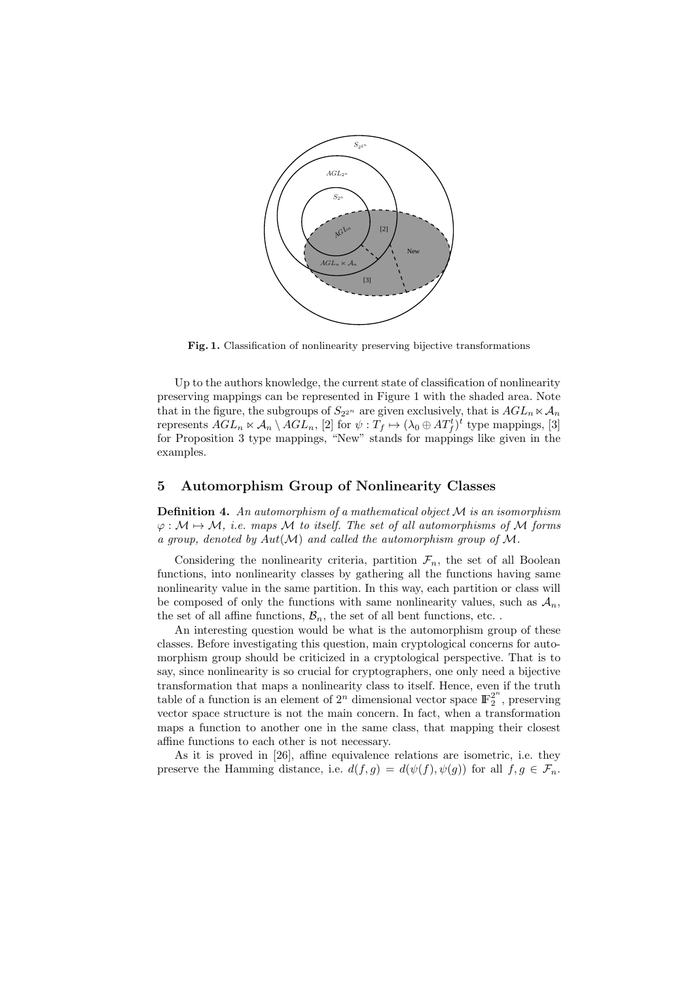

Fig. 1. Classification of nonlinearity preserving bijective transformations

Up to the authors knowledge, the current state of classification of nonlinearity preserving mappings can be represented in Figure 1 with the shaded area. Note that in the figure, the subgroups of  $S_{2^{2^n}}$  are given exclusively, that is  $AGL_n \ltimes A_n$ represents  $AGL_n \ltimes \mathcal{A}_n \setminus \overline{AGL_n}$ , [2] for  $\psi : T_f \mapsto (\lambda_0 \oplus \overline{AT_f^t})^t$  type mappings, [3] for Proposition 3 type mappings, "New" stands for mappings like given in the examples.

# 5 Automorphism Group of Nonlinearity Classes

**Definition 4.** An automorphism of a mathematical object  $M$  is an isomorphism  $\varphi : \mathcal{M} \mapsto \mathcal{M}$ , i.e. maps M to itself. The set of all automorphisms of M forms a group, denoted by  $Aut(\mathcal{M})$  and called the automorphism group of  $\mathcal{M}$ .

Considering the nonlinearity criteria, partition  $\mathcal{F}_n$ , the set of all Boolean functions, into nonlinearity classes by gathering all the functions having same nonlinearity value in the same partition. In this way, each partition or class will be composed of only the functions with same nonlinearity values, such as  $A_n$ , the set of all affine functions,  $\mathcal{B}_n$ , the set of all bent functions, etc...

An interesting question would be what is the automorphism group of these classes. Before investigating this question, main cryptological concerns for automorphism group should be criticized in a cryptological perspective. That is to say, since nonlinearity is so crucial for cryptographers, one only need a bijective transformation that maps a nonlinearity class to itself. Hence, even if the truth table of a function is an element of  $2^n$  dimensional vector space  $\mathbb{F}_2^{2^n}$  $2^2$ , preserving vector space structure is not the main concern. In fact, when a transformation maps a function to another one in the same class, that mapping their closest affine functions to each other is not necessary.

As it is proved in [26], affine equivalence relations are isometric, i.e. they preserve the Hamming distance, i.e.  $d(f,g) = d(\psi(f), \psi(g))$  for all  $f, g \in \mathcal{F}_n$ .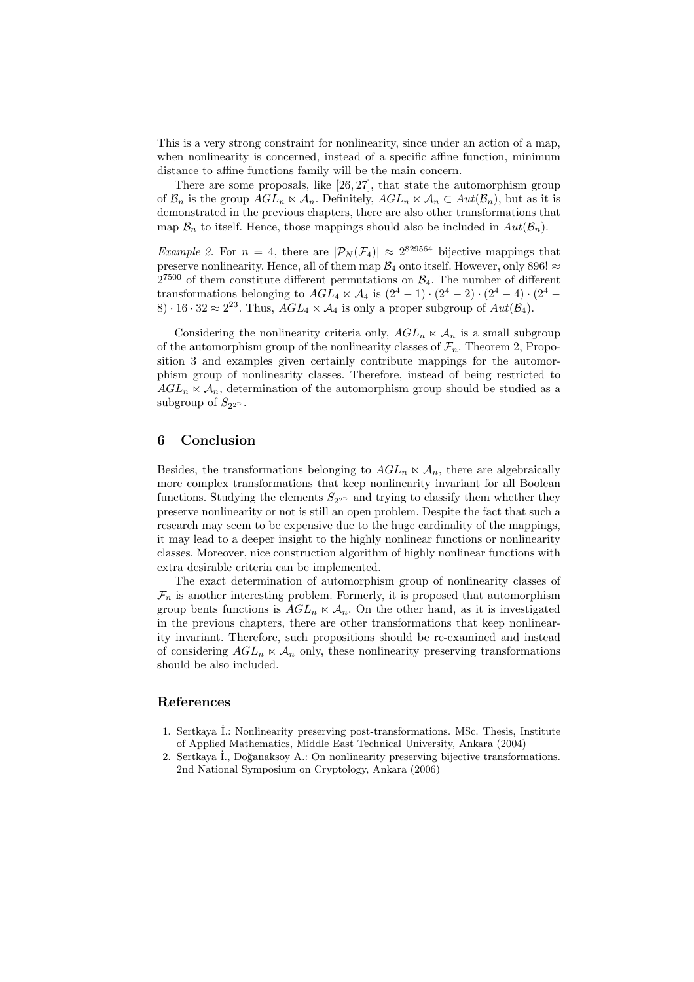This is a very strong constraint for nonlinearity, since under an action of a map, when nonlinearity is concerned, instead of a specific affine function, minimum distance to affine functions family will be the main concern.

There are some proposals, like [26, 27], that state the automorphism group of  $\mathcal{B}_n$  is the group  $AGL_n \ltimes \mathcal{A}_n$ . Definitely,  $AGL_n \ltimes \mathcal{A}_n \subset Aut(\mathcal{B}_n)$ , but as it is demonstrated in the previous chapters, there are also other transformations that map  $\mathcal{B}_n$  to itself. Hence, those mappings should also be included in  $Aut(\mathcal{B}_n)$ .

*Example 2.* For  $n = 4$ , there are  $|\mathcal{P}_N(\mathcal{F}_4)| \approx 2^{829564}$  bijective mappings that preserve nonlinearity. Hence, all of them map  $\mathcal{B}_4$  onto itself. However, only 896!  $\approx$  $2^{7500}$  of them constitute different permutations on  $\mathcal{B}_4$ . The number of different transformations belonging to  $AGL_4 \ltimes \mathcal{A}_4$  is  $(2^4 - 1) \cdot (2^4 - 2) \cdot (2^4 - 4) \cdot (2^4 - 4)$ 8) · 16 · 32  $\approx 2^{23}$ . Thus,  $AGL_4 \ltimes A_4$  is only a proper subgroup of  $Aut(\mathcal{B}_4)$ .

Considering the nonlinearity criteria only,  $AGL_n \ltimes A_n$  is a small subgroup of the automorphism group of the nonlinearity classes of  $\mathcal{F}_n$ . Theorem 2, Proposition 3 and examples given certainly contribute mappings for the automorphism group of nonlinearity classes. Therefore, instead of being restricted to  $AGL_n \times A_n$ , determination of the automorphism group should be studied as a subgroup of  $S_{2^{2^n}}$ .

# 6 Conclusion

Besides, the transformations belonging to  $AGL_n \ltimes \mathcal{A}_n$ , there are algebraically more complex transformations that keep nonlinearity invariant for all Boolean functions. Studying the elements  $S_{2^{2^n}}$  and trying to classify them whether they preserve nonlinearity or not is still an open problem. Despite the fact that such a research may seem to be expensive due to the huge cardinality of the mappings, it may lead to a deeper insight to the highly nonlinear functions or nonlinearity classes. Moreover, nice construction algorithm of highly nonlinear functions with extra desirable criteria can be implemented.

The exact determination of automorphism group of nonlinearity classes of  $\mathcal{F}_n$  is another interesting problem. Formerly, it is proposed that automorphism group bents functions is  $AGL_n \ltimes A_n$ . On the other hand, as it is investigated in the previous chapters, there are other transformations that keep nonlinearity invariant. Therefore, such propositions should be re-examined and instead of considering  $AGL_n \ltimes \mathcal{A}_n$  only, these nonlinearity preserving transformations should be also included.

#### References

- 1. Sertkaya ˙I.: Nonlinearity preserving post-transformations. MSc. Thesis, Institute of Applied Mathematics, Middle East Technical University, Ankara (2004)
- 2. Sertkaya İ., Doğanaksoy A.: On nonlinearity preserving bijective transformations. 2nd National Symposium on Cryptology, Ankara (2006)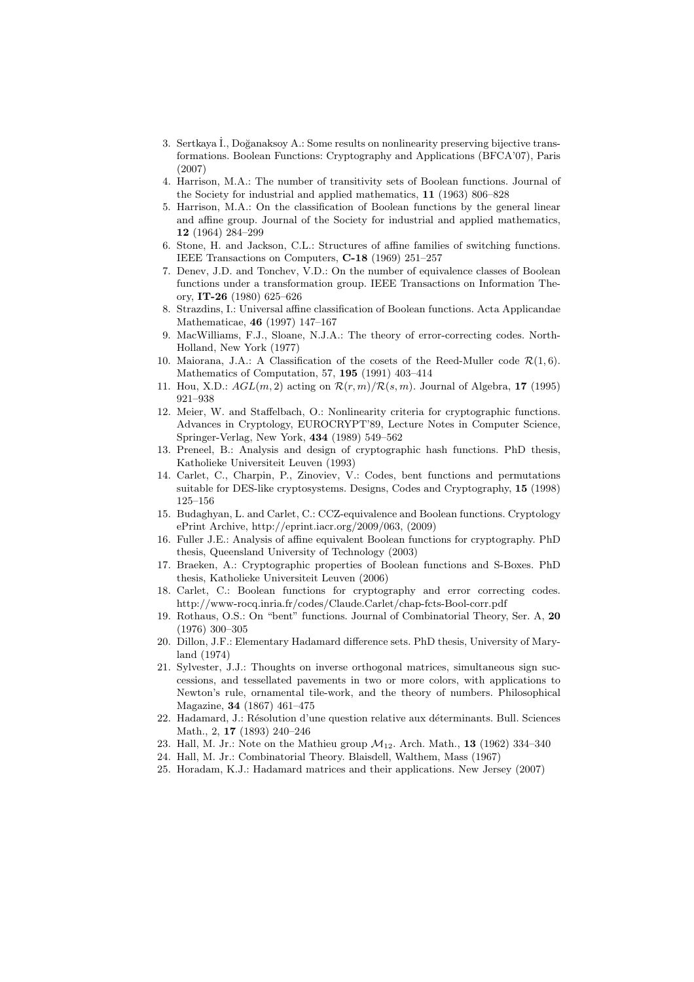- 3. Sertkaya İ., Doğanaksoy A.: Some results on nonlinearity preserving bijective transformations. Boolean Functions: Cryptography and Applications (BFCA'07), Paris (2007)
- 4. Harrison, M.A.: The number of transitivity sets of Boolean functions. Journal of the Society for industrial and applied mathematics, 11 (1963) 806–828
- 5. Harrison, M.A.: On the classification of Boolean functions by the general linear and affine group. Journal of the Society for industrial and applied mathematics, 12 (1964) 284–299
- 6. Stone, H. and Jackson, C.L.: Structures of affine families of switching functions. IEEE Transactions on Computers, C-18 (1969) 251–257
- 7. Denev, J.D. and Tonchev, V.D.: On the number of equivalence classes of Boolean functions under a transformation group. IEEE Transactions on Information Theory, IT-26 (1980) 625–626
- 8. Strazdins, I.: Universal affine classification of Boolean functions. Acta Applicandae Mathematicae, 46 (1997) 147–167
- 9. MacWilliams, F.J., Sloane, N.J.A.: The theory of error-correcting codes. North-Holland, New York (1977)
- 10. Maiorana, J.A.: A Classification of the cosets of the Reed-Muller code  $\mathcal{R}(1,6)$ . Mathematics of Computation, 57, 195 (1991) 403–414
- 11. Hou, X.D.:  $AGL(m, 2)$  acting on  $\mathcal{R}(r, m)/\mathcal{R}(s, m)$ . Journal of Algebra, 17 (1995) 921–938
- 12. Meier, W. and Staffelbach, O.: Nonlinearity criteria for cryptographic functions. Advances in Cryptology, EUROCRYPT'89, Lecture Notes in Computer Science, Springer-Verlag, New York, 434 (1989) 549–562
- 13. Preneel, B.: Analysis and design of cryptographic hash functions. PhD thesis, Katholieke Universiteit Leuven (1993)
- 14. Carlet, C., Charpin, P., Zinoviev, V.: Codes, bent functions and permutations suitable for DES-like cryptosystems. Designs, Codes and Cryptography, 15 (1998) 125–156
- 15. Budaghyan, L. and Carlet, C.: CCZ-equivalence and Boolean functions. Cryptology ePrint Archive, http://eprint.iacr.org/2009/063, (2009)
- 16. Fuller J.E.: Analysis of affine equivalent Boolean functions for cryptography. PhD thesis, Queensland University of Technology (2003)
- 17. Braeken, A.: Cryptographic properties of Boolean functions and S-Boxes. PhD thesis, Katholieke Universiteit Leuven (2006)
- 18. Carlet, C.: Boolean functions for cryptography and error correcting codes. http://www-rocq.inria.fr/codes/Claude.Carlet/chap-fcts-Bool-corr.pdf
- 19. Rothaus, O.S.: On "bent" functions. Journal of Combinatorial Theory, Ser. A, 20 (1976) 300–305
- 20. Dillon, J.F.: Elementary Hadamard difference sets. PhD thesis, University of Maryland (1974)
- 21. Sylvester, J.J.: Thoughts on inverse orthogonal matrices, simultaneous sign successions, and tessellated pavements in two or more colors, with applications to Newton's rule, ornamental tile-work, and the theory of numbers. Philosophical Magazine, 34 (1867) 461–475
- 22. Hadamard, J.: Résolution d'une question relative aux déterminants. Bull. Sciences Math., 2, 17 (1893) 240–246
- 23. Hall, M. Jr.: Note on the Mathieu group  $\mathcal{M}_{12}$ . Arch. Math., 13 (1962) 334-340
- 24. Hall, M. Jr.: Combinatorial Theory. Blaisdell, Walthem, Mass (1967)
- 25. Horadam, K.J.: Hadamard matrices and their applications. New Jersey (2007)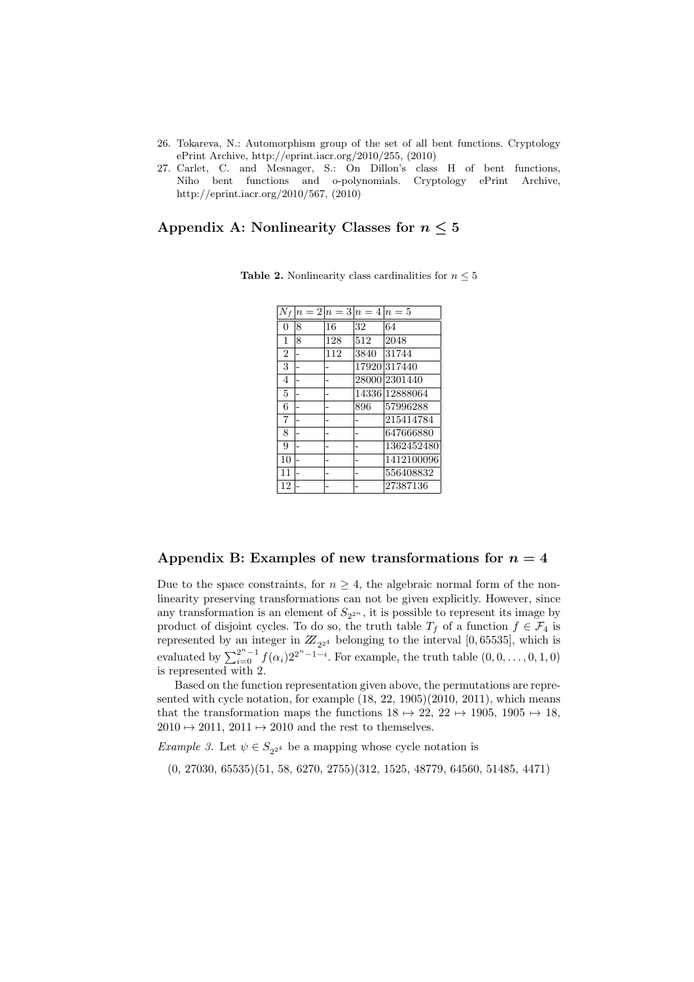- 26. Tokareva, N.: Automorphism group of the set of all bent functions. Cryptology ePrint Archive, http://eprint.iacr.org/2010/255, (2010)
- 27. Carlet, C. and Mesnager, S.: On Dillon's class H of bent functions, Niho bent functions and o-polynomials. Cryptology ePrint Archive, http://eprint.iacr.org/2010/567, (2010)

# Appendix A: Nonlinearity Classes for  $n \leq 5$

|                |   |     | $n=2 n=3 n=4 n=5$ |               |
|----------------|---|-----|-------------------|---------------|
| $\Omega$       | 8 | 16  | 32                | 64            |
| 1              | 8 | 128 | 512               | 2048          |
| $\overline{2}$ |   | 112 | 3840              | 31744         |
| 3              |   |     |                   | 17920 317440  |
| 4              |   |     |                   | 28000 2301440 |
| 5              |   |     | 14336             | 12888064      |
| 6              |   |     | 896               | 57996288      |
| $\overline{7}$ |   |     |                   | 215414784     |
| 8              |   |     |                   | 647666880     |
| 9              |   |     |                   | 1362452480    |
| 10             |   |     |                   | 1412100096    |
| 11             |   |     |                   | 556408832     |
| 12             |   |     |                   | 27387136      |

**Table 2.** Nonlinearity class cardinalities for  $n \leq 5$ 

### Appendix B: Examples of new transformations for  $n = 4$

Due to the space constraints, for  $n \geq 4$ , the algebraic normal form of the nonlinearity preserving transformations can not be given explicitly. However, since any transformation is an element of  $S_{2^{2^n}}$ , it is possible to represent its image by product of disjoint cycles. To do so, the truth table  $T_f$  of a function  $f \in \mathcal{F}_4$  is represented by an integer in  $Z_{2^{2^4}}$  belonging to the interval [0, 65535], which is evaluated by  $\sum_{i=0}^{2^n-1} f(\alpha_i) 2^{2^n-1-i}$ . For example, the truth table  $(0, 0, ..., 0, 1, 0)$ is represented with 2.

Based on the function representation given above, the permutations are represented with cycle notation, for example (18, 22, 1905)(2010, 2011), which means that the transformation maps the functions  $18 \rightarrow 22$ ,  $22 \rightarrow 1905$ ,  $1905 \rightarrow 18$ ,  $2010 \rightarrow 2011$ ,  $2011 \rightarrow 2010$  and the rest to themselves.

*Example 3.* Let  $\psi \in S_{2^{2^4}}$  be a mapping whose cycle notation is

(0, 27030, 65535)(51, 58, 6270, 2755)(312, 1525, 48779, 64560, 51485, 4471)